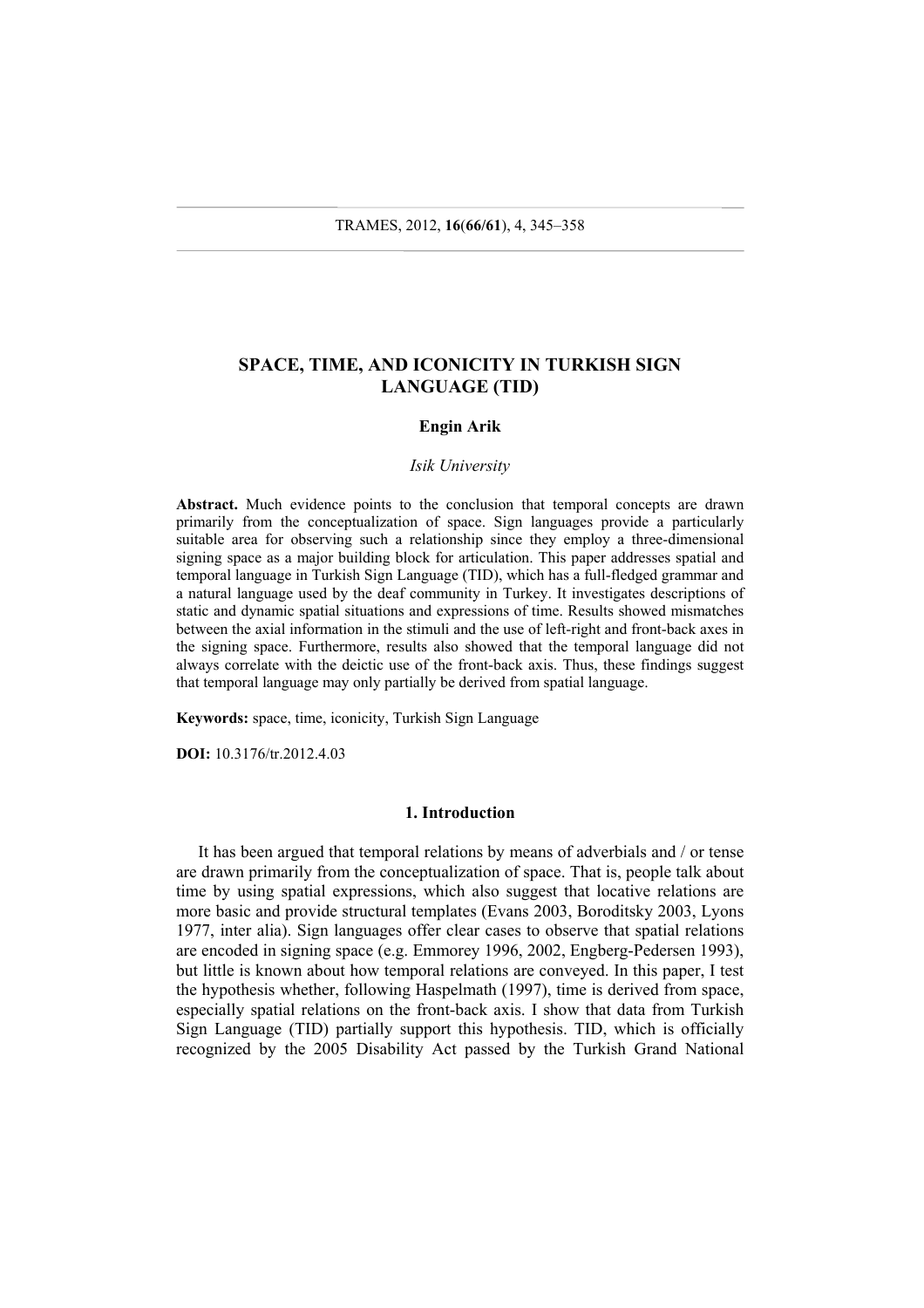# **SPACE, TIME, AND ICONICITY IN TURKISH SIGN LANGUAGE (TID)**

#### **Engin Arik**

#### *Isik University*

**Abstract.** Much evidence points to the conclusion that temporal concepts are drawn primarily from the conceptualization of space. Sign languages provide a particularly suitable area for observing such a relationship since they employ a three-dimensional signing space as a major building block for articulation. This paper addresses spatial and temporal language in Turkish Sign Language (TID), which has a full-fledged grammar and a natural language used by the deaf community in Turkey. It investigates descriptions of static and dynamic spatial situations and expressions of time. Results showed mismatches between the axial information in the stimuli and the use of left-right and front-back axes in the signing space. Furthermore, results also showed that the temporal language did not always correlate with the deictic use of the front-back axis. Thus, these findings suggest that temporal language may only partially be derived from spatial language.

**Keywords:** space, time, iconicity, Turkish Sign Language

**DOI:** 10.3176/tr.2012.4.03

## **1. Introduction**

It has been argued that temporal relations by means of adverbials and / or tense are drawn primarily from the conceptualization of space. That is, people talk about time by using spatial expressions, which also suggest that locative relations are more basic and provide structural templates (Evans 2003, Boroditsky 2003, Lyons 1977, inter alia). Sign languages offer clear cases to observe that spatial relations are encoded in signing space (e.g. Emmorey 1996, 2002, Engberg-Pedersen 1993), but little is known about how temporal relations are conveyed. In this paper, I test the hypothesis whether, following Haspelmath (1997), time is derived from space, especially spatial relations on the front-back axis. I show that data from Turkish Sign Language (TID) partially support this hypothesis. TID, which is officially recognized by the 2005 Disability Act passed by the Turkish Grand National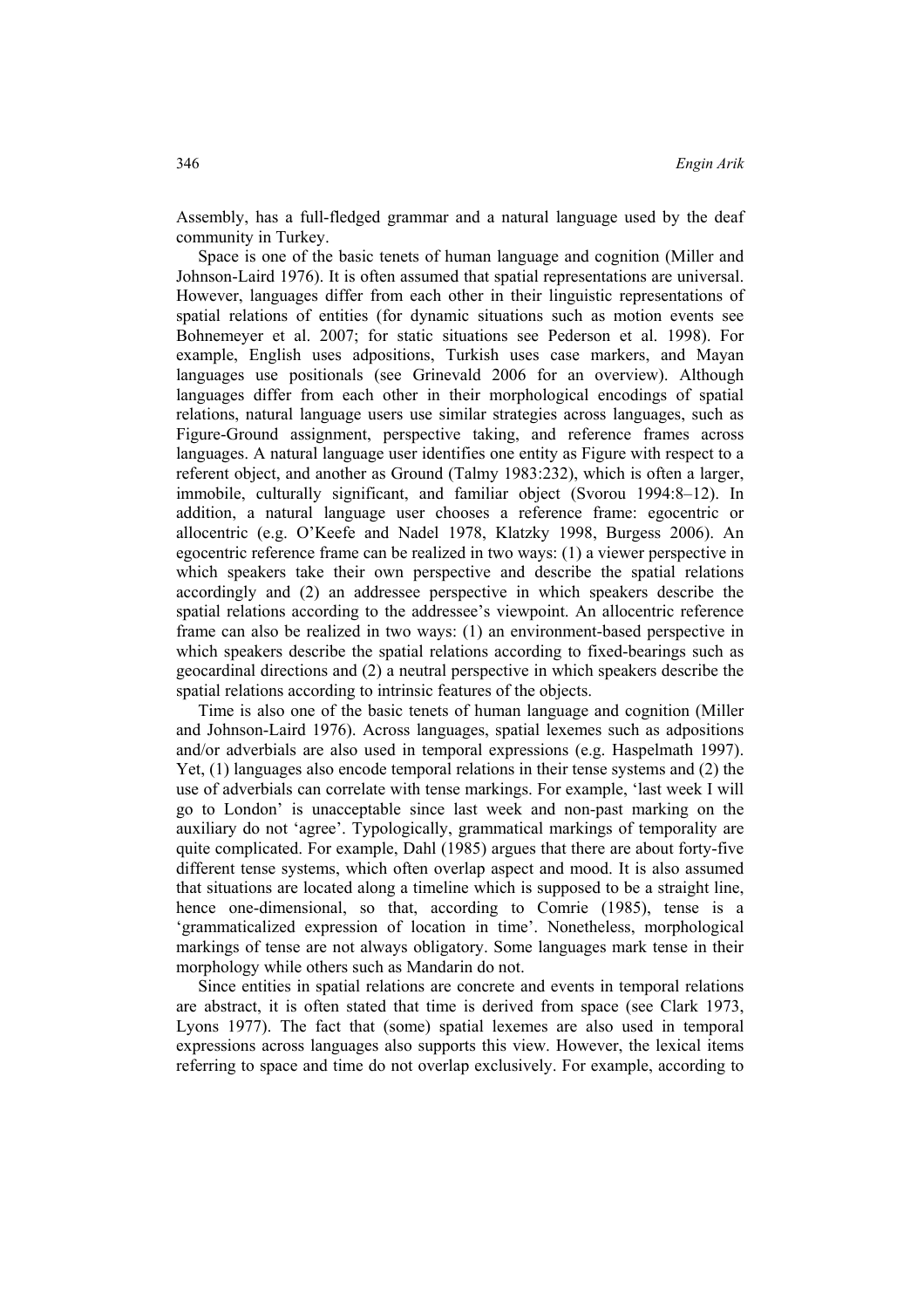Assembly, has a full-fledged grammar and a natural language used by the deaf community in Turkey.

Space is one of the basic tenets of human language and cognition (Miller and Johnson-Laird 1976). It is often assumed that spatial representations are universal. However, languages differ from each other in their linguistic representations of spatial relations of entities (for dynamic situations such as motion events see Bohnemeyer et al. 2007; for static situations see Pederson et al. 1998). For example, English uses adpositions, Turkish uses case markers, and Mayan languages use positionals (see Grinevald 2006 for an overview). Although languages differ from each other in their morphological encodings of spatial relations, natural language users use similar strategies across languages, such as Figure-Ground assignment, perspective taking, and reference frames across languages. A natural language user identifies one entity as Figure with respect to a referent object, and another as Ground (Talmy 1983:232), which is often a larger, immobile, culturally significant, and familiar object (Svorou 1994:8–12). In addition, a natural language user chooses a reference frame: egocentric or allocentric (e.g. O'Keefe and Nadel 1978, Klatzky 1998, Burgess 2006). An egocentric reference frame can be realized in two ways: (1) a viewer perspective in which speakers take their own perspective and describe the spatial relations accordingly and (2) an addressee perspective in which speakers describe the spatial relations according to the addressee's viewpoint. An allocentric reference frame can also be realized in two ways: (1) an environment-based perspective in which speakers describe the spatial relations according to fixed-bearings such as geocardinal directions and (2) a neutral perspective in which speakers describe the spatial relations according to intrinsic features of the objects.

Time is also one of the basic tenets of human language and cognition (Miller and Johnson-Laird 1976). Across languages, spatial lexemes such as adpositions and/or adverbials are also used in temporal expressions (e.g. Haspelmath 1997). Yet, (1) languages also encode temporal relations in their tense systems and (2) the use of adverbials can correlate with tense markings. For example, 'last week I will go to London' is unacceptable since last week and non-past marking on the auxiliary do not 'agree'. Typologically, grammatical markings of temporality are quite complicated. For example, Dahl (1985) argues that there are about forty-five different tense systems, which often overlap aspect and mood. It is also assumed that situations are located along a timeline which is supposed to be a straight line, hence one-dimensional, so that, according to Comrie (1985), tense is a 'grammaticalized expression of location in time'. Nonetheless, morphological markings of tense are not always obligatory. Some languages mark tense in their morphology while others such as Mandarin do not.

Since entities in spatial relations are concrete and events in temporal relations are abstract, it is often stated that time is derived from space (see Clark 1973, Lyons 1977). The fact that (some) spatial lexemes are also used in temporal expressions across languages also supports this view. However, the lexical items referring to space and time do not overlap exclusively. For example, according to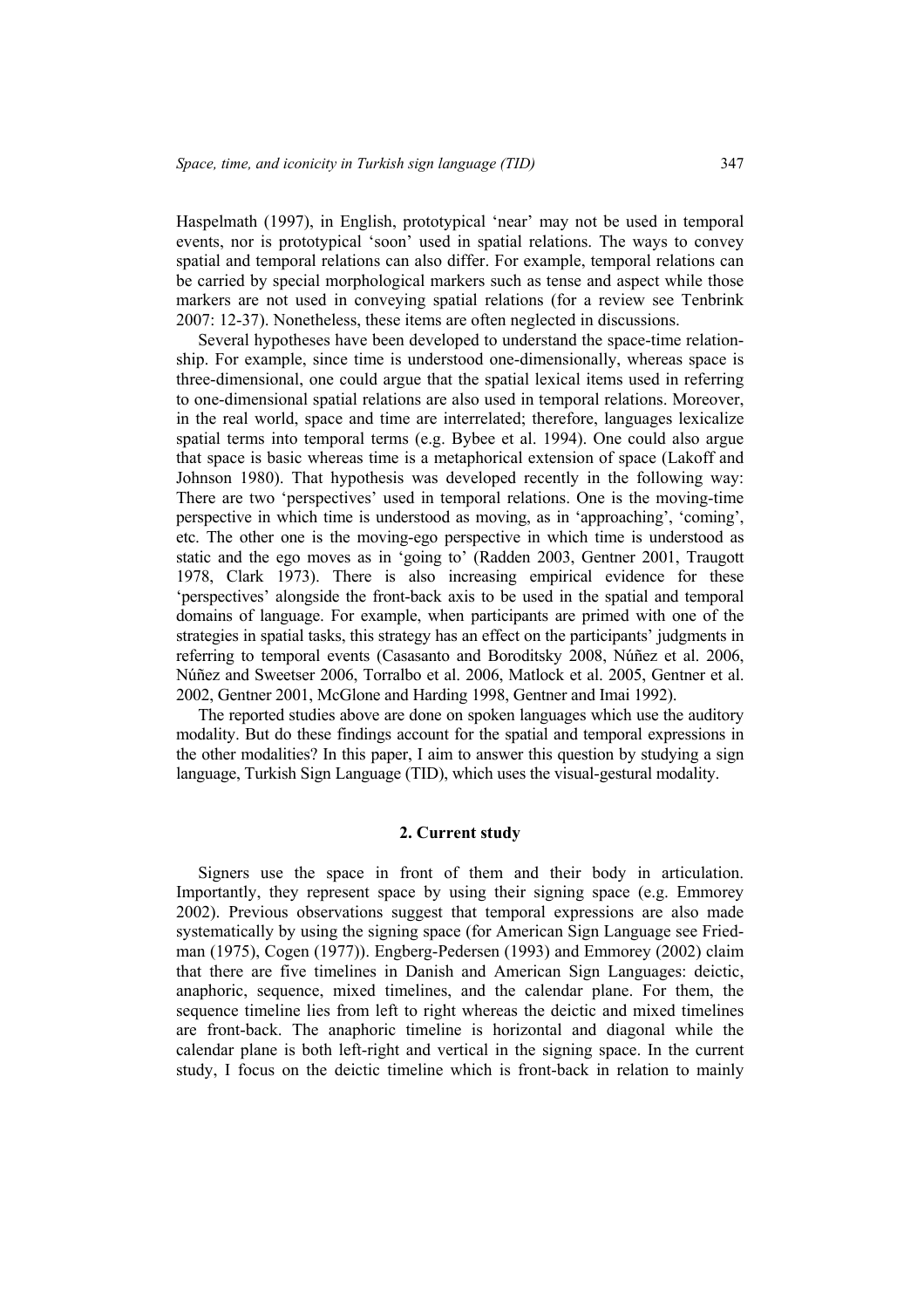Haspelmath (1997), in English, prototypical 'near' may not be used in temporal events, nor is prototypical 'soon' used in spatial relations. The ways to convey spatial and temporal relations can also differ. For example, temporal relations can be carried by special morphological markers such as tense and aspect while those markers are not used in conveying spatial relations (for a review see Tenbrink 2007: 12-37). Nonetheless, these items are often neglected in discussions.

Several hypotheses have been developed to understand the space-time relationship. For example, since time is understood one-dimensionally, whereas space is three-dimensional, one could argue that the spatial lexical items used in referring to one-dimensional spatial relations are also used in temporal relations. Moreover, in the real world, space and time are interrelated; therefore, languages lexicalize spatial terms into temporal terms (e.g. Bybee et al. 1994). One could also argue that space is basic whereas time is a metaphorical extension of space (Lakoff and Johnson 1980). That hypothesis was developed recently in the following way: There are two 'perspectives' used in temporal relations. One is the moving-time perspective in which time is understood as moving, as in 'approaching', 'coming', etc. The other one is the moving-ego perspective in which time is understood as static and the ego moves as in 'going to' (Radden 2003, Gentner 2001, Traugott 1978, Clark 1973). There is also increasing empirical evidence for these 'perspectives' alongside the front-back axis to be used in the spatial and temporal domains of language. For example, when participants are primed with one of the strategies in spatial tasks, this strategy has an effect on the participants' judgments in referring to temporal events (Casasanto and Boroditsky 2008, Núñez et al. 2006, Núñez and Sweetser 2006, Torralbo et al. 2006, Matlock et al. 2005, Gentner et al. 2002, Gentner 2001, McGlone and Harding 1998, Gentner and Imai 1992).

The reported studies above are done on spoken languages which use the auditory modality. But do these findings account for the spatial and temporal expressions in the other modalities? In this paper, I aim to answer this question by studying a sign language, Turkish Sign Language (TID), which uses the visual-gestural modality.

## **2. Current study**

Signers use the space in front of them and their body in articulation. Importantly, they represent space by using their signing space (e.g. Emmorey 2002). Previous observations suggest that temporal expressions are also made systematically by using the signing space (for American Sign Language see Friedman (1975), Cogen (1977)). Engberg-Pedersen (1993) and Emmorey (2002) claim that there are five timelines in Danish and American Sign Languages: deictic, anaphoric, sequence, mixed timelines, and the calendar plane. For them, the sequence timeline lies from left to right whereas the deictic and mixed timelines are front-back. The anaphoric timeline is horizontal and diagonal while the calendar plane is both left-right and vertical in the signing space. In the current study, I focus on the deictic timeline which is front-back in relation to mainly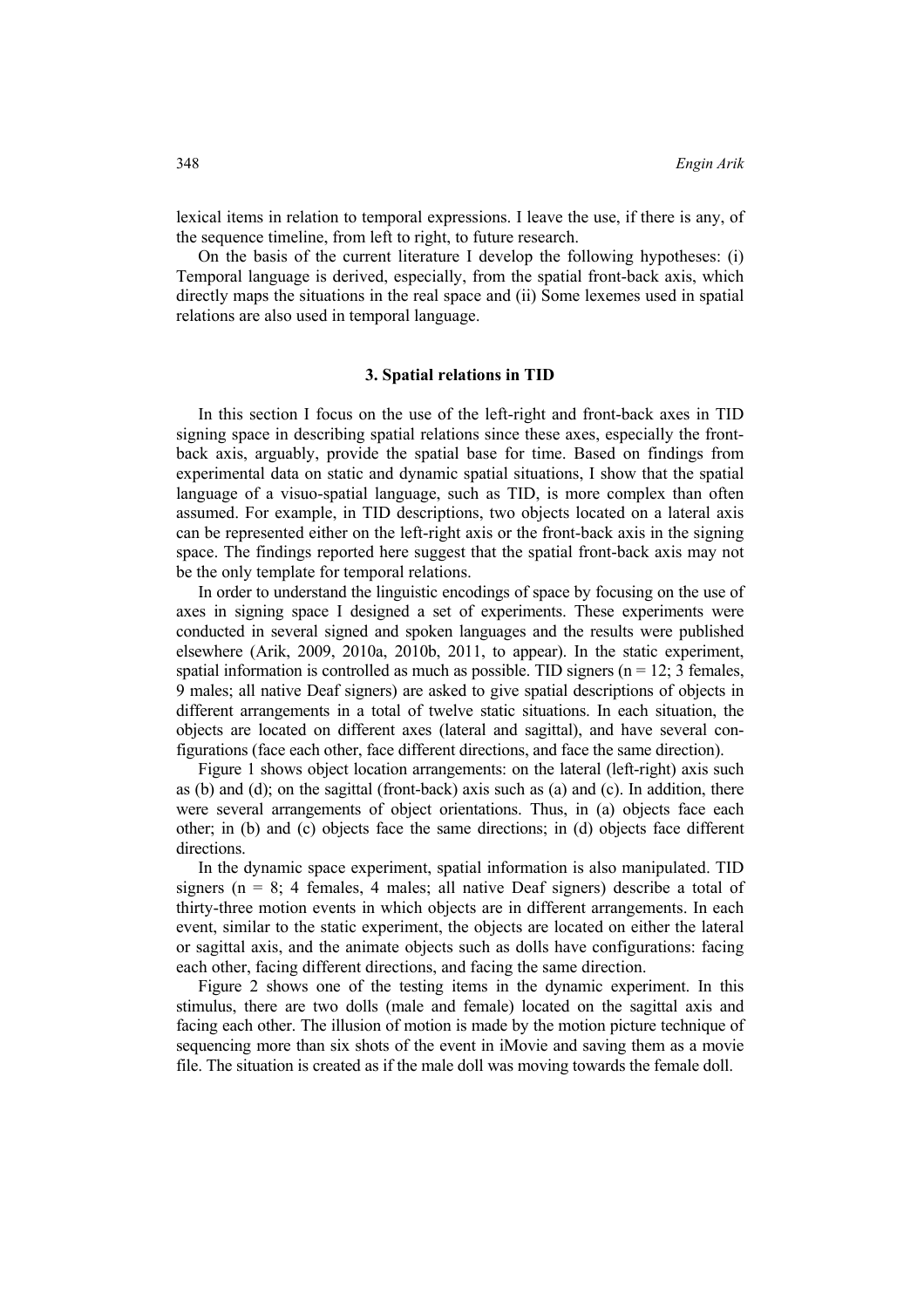lexical items in relation to temporal expressions. I leave the use, if there is any, of the sequence timeline, from left to right, to future research.

On the basis of the current literature I develop the following hypotheses: (i) Temporal language is derived, especially, from the spatial front-back axis, which directly maps the situations in the real space and (ii) Some lexemes used in spatial relations are also used in temporal language.

## **3. Spatial relations in TID**

In this section I focus on the use of the left-right and front-back axes in TID signing space in describing spatial relations since these axes, especially the frontback axis, arguably, provide the spatial base for time. Based on findings from experimental data on static and dynamic spatial situations, I show that the spatial language of a visuo-spatial language, such as TID, is more complex than often assumed. For example, in TID descriptions, two objects located on a lateral axis can be represented either on the left-right axis or the front-back axis in the signing space. The findings reported here suggest that the spatial front-back axis may not be the only template for temporal relations.

In order to understand the linguistic encodings of space by focusing on the use of axes in signing space I designed a set of experiments. These experiments were conducted in several signed and spoken languages and the results were published elsewhere (Arik, 2009, 2010a, 2010b, 2011, to appear). In the static experiment, spatial information is controlled as much as possible. TID signers ( $n = 12$ ; 3 females, 9 males; all native Deaf signers) are asked to give spatial descriptions of objects in different arrangements in a total of twelve static situations. In each situation, the objects are located on different axes (lateral and sagittal), and have several configurations (face each other, face different directions, and face the same direction).

Figure 1 shows object location arrangements: on the lateral (left-right) axis such as (b) and (d); on the sagittal (front-back) axis such as (a) and (c). In addition, there were several arrangements of object orientations. Thus, in (a) objects face each other; in (b) and (c) objects face the same directions; in (d) objects face different directions.

In the dynamic space experiment, spatial information is also manipulated. TID signers ( $n = 8$ ; 4 females, 4 males; all native Deaf signers) describe a total of thirty-three motion events in which objects are in different arrangements. In each event, similar to the static experiment, the objects are located on either the lateral or sagittal axis, and the animate objects such as dolls have configurations: facing each other, facing different directions, and facing the same direction.

Figure 2 shows one of the testing items in the dynamic experiment. In this stimulus, there are two dolls (male and female) located on the sagittal axis and facing each other. The illusion of motion is made by the motion picture technique of sequencing more than six shots of the event in iMovie and saving them as a movie file. The situation is created as if the male doll was moving towards the female doll.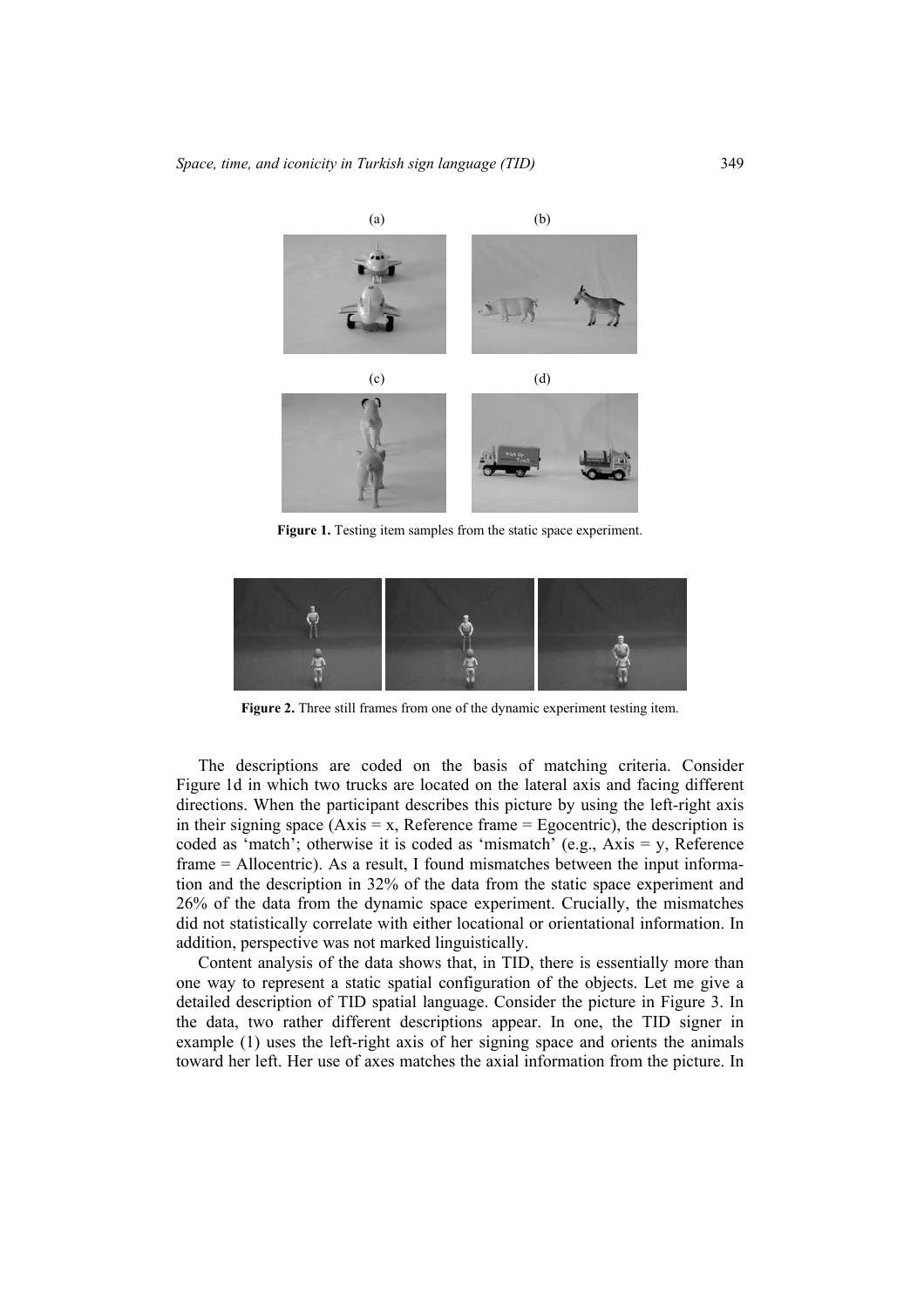

**Figure 1.** Testing item samples from the static space experiment.



**Figure 2.** Three still frames from one of the dynamic experiment testing item.

The descriptions are coded on the basis of matching criteria. Consider Figure 1d in which two trucks are located on the lateral axis and facing different directions. When the participant describes this picture by using the left-right axis in their signing space (Axis = x, Reference frame = Egocentric), the description is coded as 'match'; otherwise it is coded as 'mismatch' (e.g., Axis = y, Reference frame = Allocentric). As a result, I found mismatches between the input information and the description in 32% of the data from the static space experiment and 26% of the data from the dynamic space experiment. Crucially, the mismatches did not statistically correlate with either locational or orientational information. In addition, perspective was not marked linguistically.

Content analysis of the data shows that, in TID, there is essentially more than one way to represent a static spatial configuration of the objects. Let me give a detailed description of TID spatial language. Consider the picture in Figure 3. In the data, two rather different descriptions appear. In one, the TID signer in example (1) uses the left-right axis of her signing space and orients the animals toward her left. Her use of axes matches the axial information from the picture. In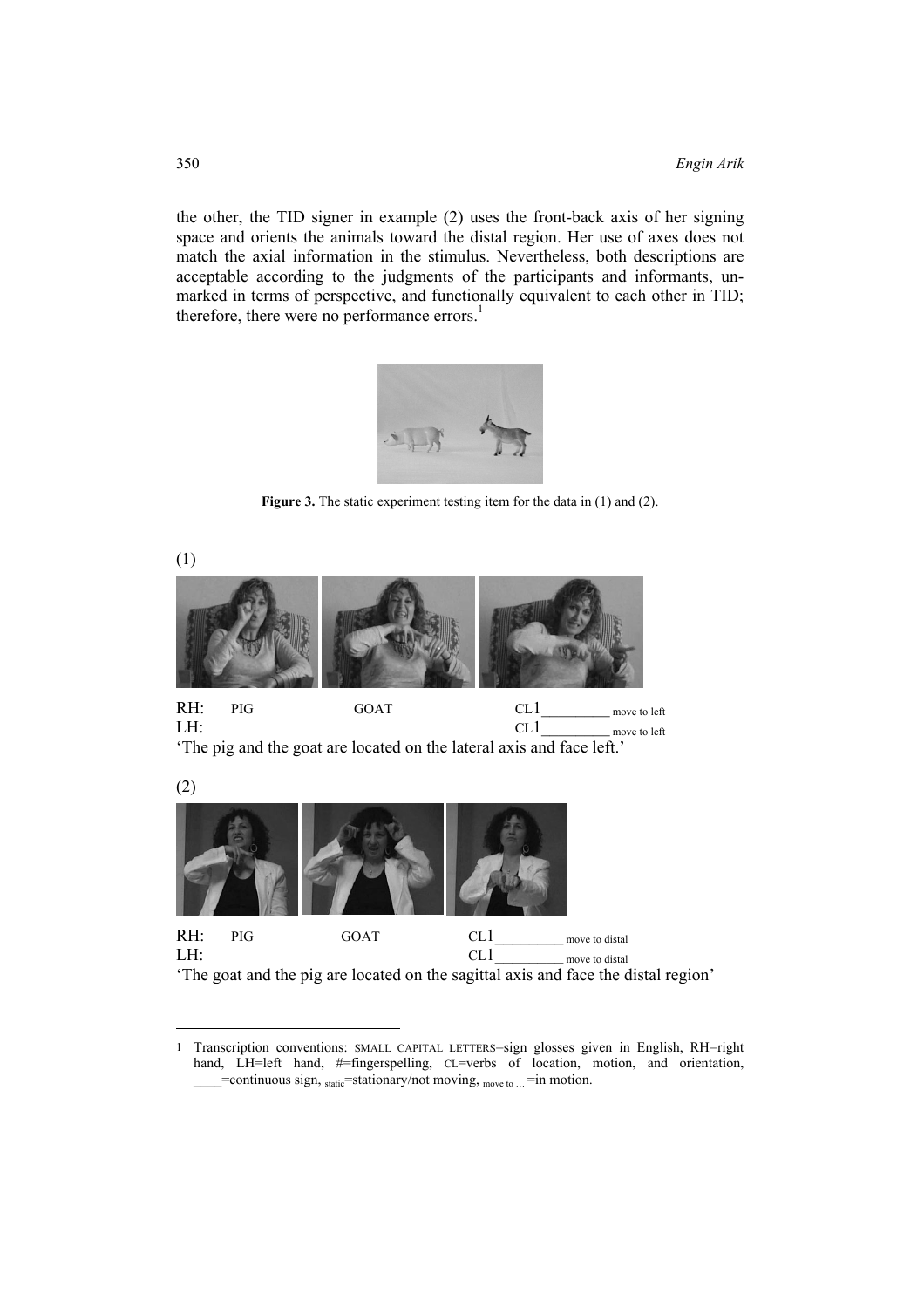the other, the TID signer in example (2) uses the front-back axis of her signing space and orients the animals toward the distal region. Her use of axes does not match the axial information in the stimulus. Nevertheless, both descriptions are acceptable according to the judgments of the participants and informants, unmarked in terms of perspective, and functionally equivalent to each other in TID; therefore, there were no performance errors.<sup>1</sup>



**Figure 3.** The static experiment testing item for the data in (1) and (2).



<sup>1</sup> Transcription conventions: SMALL CAPITAL LETTERS=sign glosses given in English, RH=right hand, LH=left hand, #=fingerspelling, CL=verbs of location, motion, and orientation,  $=$ continuous sign, static=stationary/not moving, <sub>move to</sub>  $=$ in motion.

l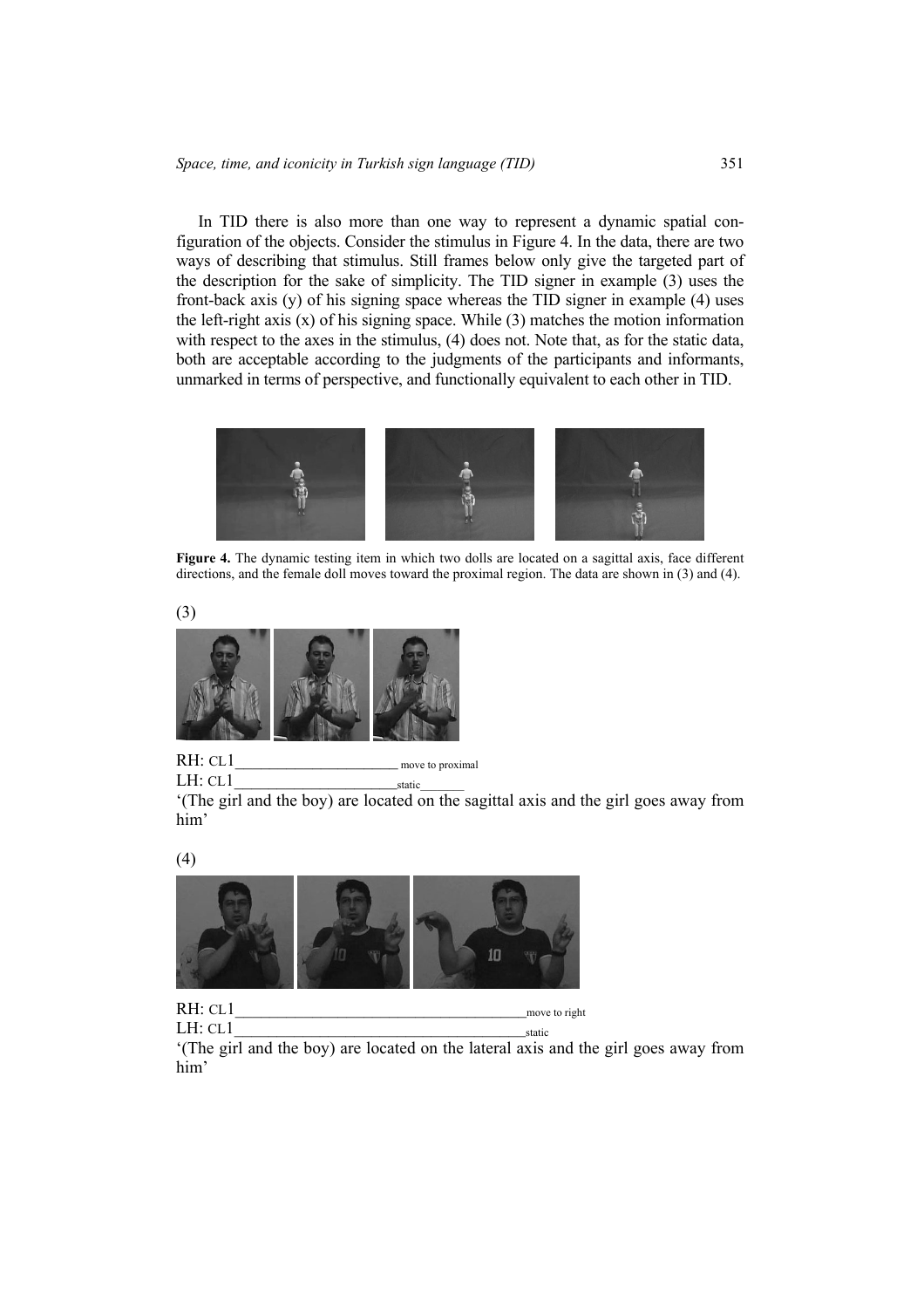In TID there is also more than one way to represent a dynamic spatial configuration of the objects. Consider the stimulus in Figure 4. In the data, there are two ways of describing that stimulus. Still frames below only give the targeted part of the description for the sake of simplicity. The TID signer in example (3) uses the front-back axis (y) of his signing space whereas the TID signer in example (4) uses the left-right axis (x) of his signing space. While (3) matches the motion information with respect to the axes in the stimulus, (4) does not. Note that, as for the static data, both are acceptable according to the judgments of the participants and informants, unmarked in terms of perspective, and functionally equivalent to each other in TID.



**Figure 4.** The dynamic testing item in which two dolls are located on a sagittal axis, face different directions, and the female doll moves toward the proximal region. The data are shown in (3) and (4).

(3)



RH: CL1

LH: CL1\_\_\_\_\_\_\_\_\_\_\_\_\_\_\_\_\_\_\_static\_\_\_\_\_\_\_\_

'(The girl and the boy) are located on the sagittal axis and the girl goes away from him'

(4)



LH: CL1\_\_\_\_\_\_\_\_\_\_\_\_\_\_\_\_\_\_\_\_\_\_\_\_\_\_\_\_\_\_\_\_\_\_static

'(The girl and the boy) are located on the lateral axis and the girl goes away from him'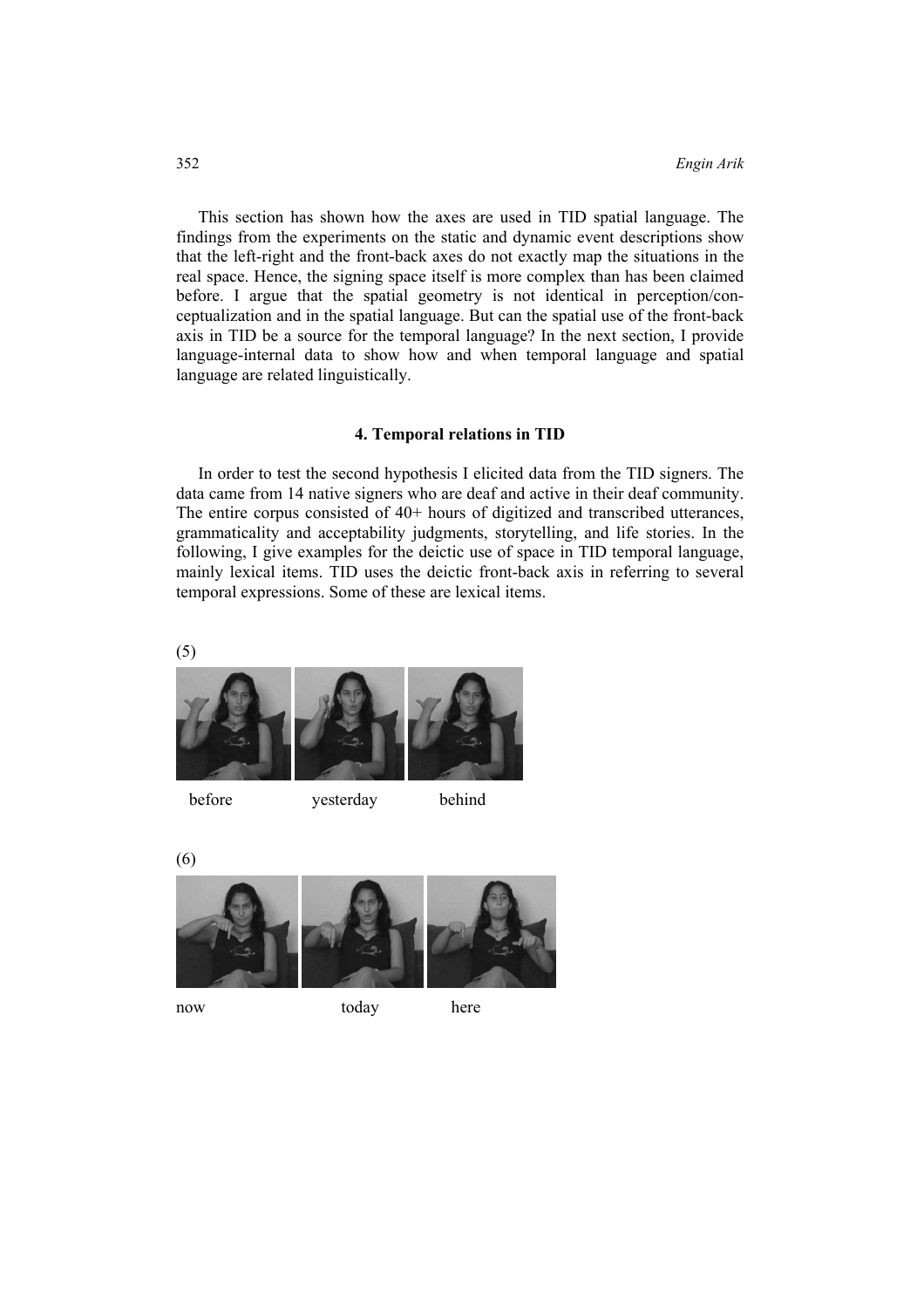This section has shown how the axes are used in TID spatial language. The findings from the experiments on the static and dynamic event descriptions show that the left-right and the front-back axes do not exactly map the situations in the real space. Hence, the signing space itself is more complex than has been claimed before. I argue that the spatial geometry is not identical in perception/conceptualization and in the spatial language. But can the spatial use of the front-back axis in TID be a source for the temporal language? In the next section, I provide language-internal data to show how and when temporal language and spatial language are related linguistically.

### **4. Temporal relations in TID**

In order to test the second hypothesis I elicited data from the TID signers. The data came from 14 native signers who are deaf and active in their deaf community. The entire corpus consisted of 40+ hours of digitized and transcribed utterances, grammaticality and acceptability judgments, storytelling, and life stories. In the following, I give examples for the deictic use of space in TID temporal language, mainly lexical items. TID uses the deictic front-back axis in referring to several temporal expressions. Some of these are lexical items.

(5)



before yesterday behind

(6)



now today here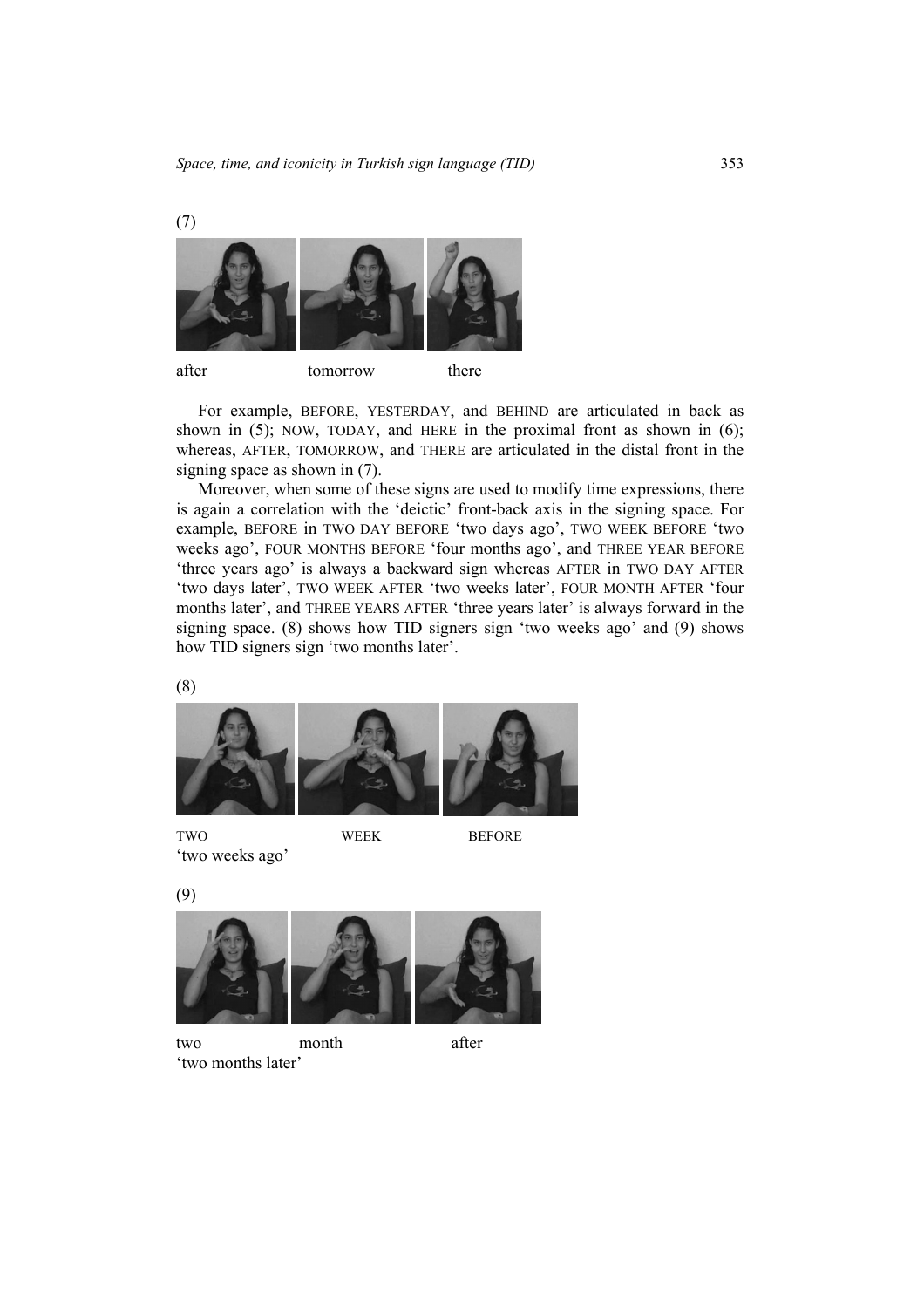(7)



For example, BEFORE, YESTERDAY, and BEHIND are articulated in back as shown in  $(5)$ ; NOW, TODAY, and HERE in the proximal front as shown in  $(6)$ ; whereas, AFTER, TOMORROW, and THERE are articulated in the distal front in the signing space as shown in (7).

Moreover, when some of these signs are used to modify time expressions, there is again a correlation with the 'deictic' front-back axis in the signing space. For example, BEFORE in TWO DAY BEFORE 'two days ago', TWO WEEK BEFORE 'two weeks ago', FOUR MONTHS BEFORE 'four months ago', and THREE YEAR BEFORE 'three years ago' is always a backward sign whereas AFTER in TWO DAY AFTER 'two days later', TWO WEEK AFTER 'two weeks later', FOUR MONTH AFTER 'four months later', and THREE YEARS AFTER 'three years later' is always forward in the signing space. (8) shows how TID signers sign 'two weeks ago' and (9) shows how TID signers sign 'two months later'.

(8)



TWO WEEK BEFORE 'two weeks ago'





two month after 'two months later'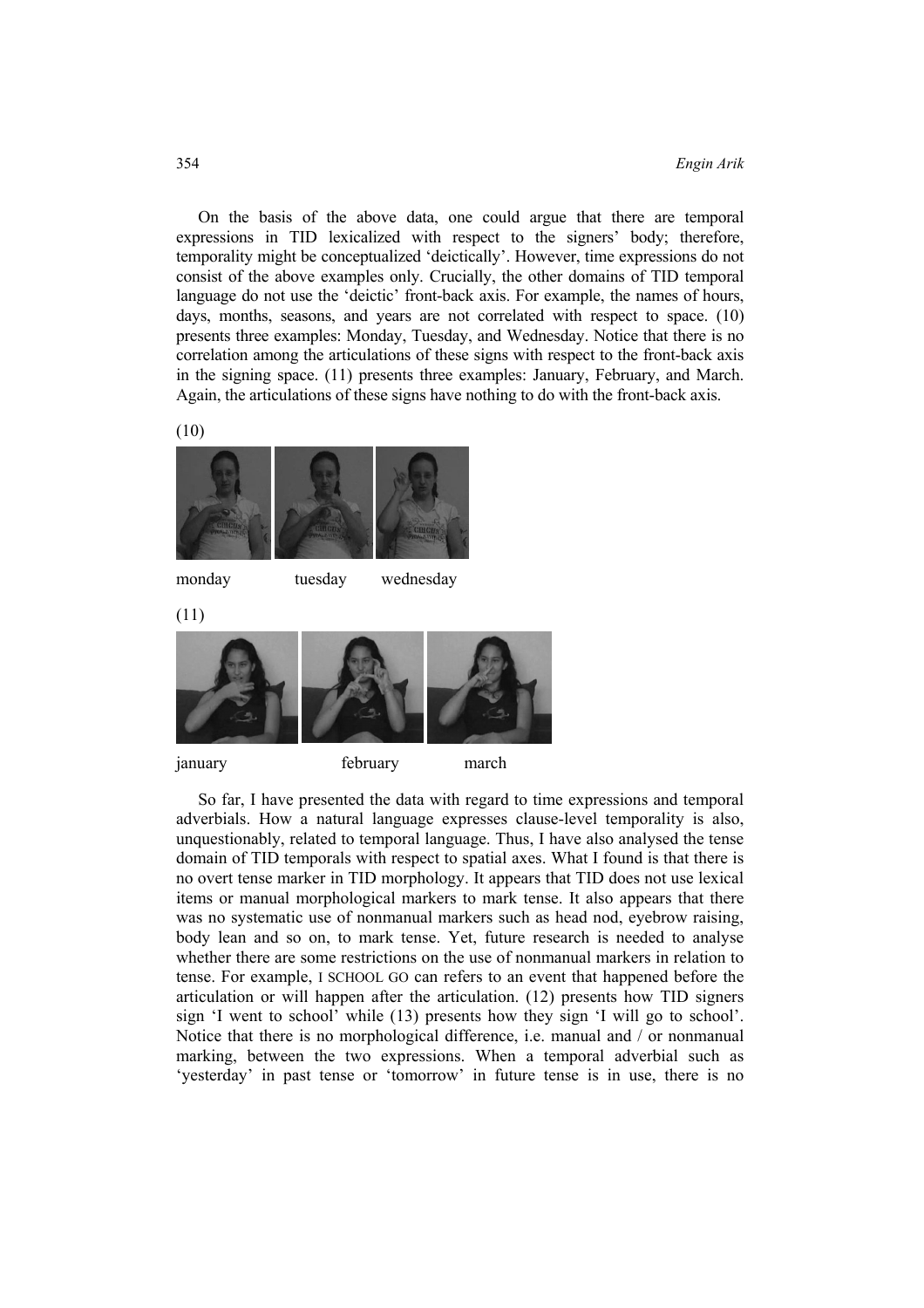On the basis of the above data, one could argue that there are temporal expressions in TID lexicalized with respect to the signers' body; therefore, temporality might be conceptualized 'deictically'. However, time expressions do not consist of the above examples only. Crucially, the other domains of TID temporal language do not use the 'deictic' front-back axis. For example, the names of hours, days, months, seasons, and years are not correlated with respect to space. (10) presents three examples: Monday, Tuesday, and Wednesday. Notice that there is no correlation among the articulations of these signs with respect to the front-back axis in the signing space. (11) presents three examples: January, February, and March. Again, the articulations of these signs have nothing to do with the front-back axis.

(10)



monday tuesday wednesday

(11)



january february march So far, I have presented the data with regard to time expressions and temporal adverbials. How a natural language expresses clause-level temporality is also, unquestionably, related to temporal language. Thus, I have also analysed the tense domain of TID temporals with respect to spatial axes. What I found is that there is no overt tense marker in TID morphology. It appears that TID does not use lexical items or manual morphological markers to mark tense. It also appears that there was no systematic use of nonmanual markers such as head nod, eyebrow raising, body lean and so on, to mark tense. Yet, future research is needed to analyse whether there are some restrictions on the use of nonmanual markers in relation to tense. For example, I SCHOOL GO can refers to an event that happened before the articulation or will happen after the articulation. (12) presents how TID signers sign 'I went to school' while (13) presents how they sign 'I will go to school'. Notice that there is no morphological difference, i.e. manual and / or nonmanual marking, between the two expressions. When a temporal adverbial such as 'yesterday' in past tense or 'tomorrow' in future tense is in use, there is no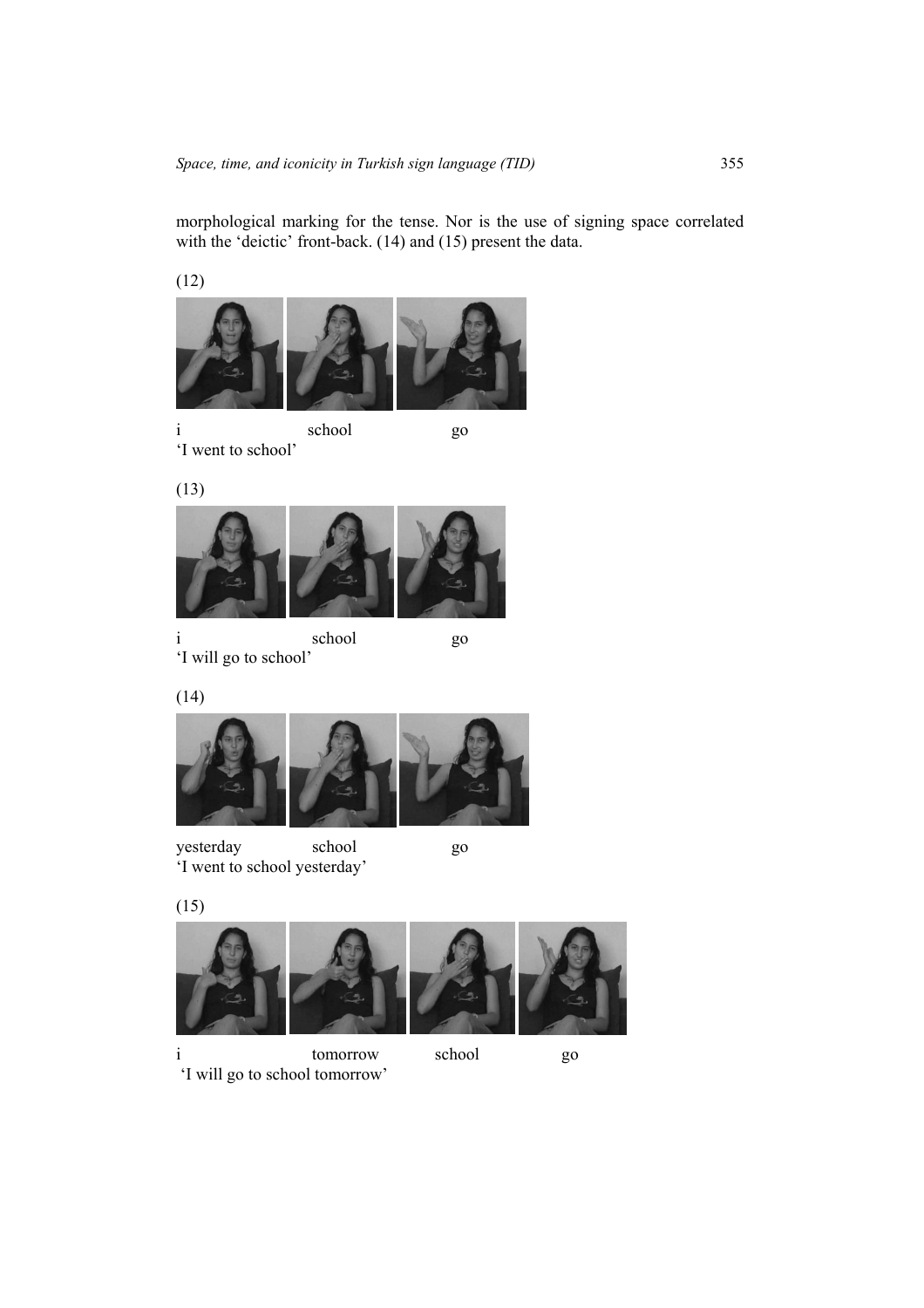morphological marking for the tense. Nor is the use of signing space correlated with the 'deictic' front-back. (14) and (15) present the data.

(12)



i school go 'I went to school'

(13)



i school go 'I will go to school'

(14)



yesterday school go 'I went to school yesterday'

(15)



i tomorrow school go 'I will go to school tomorrow'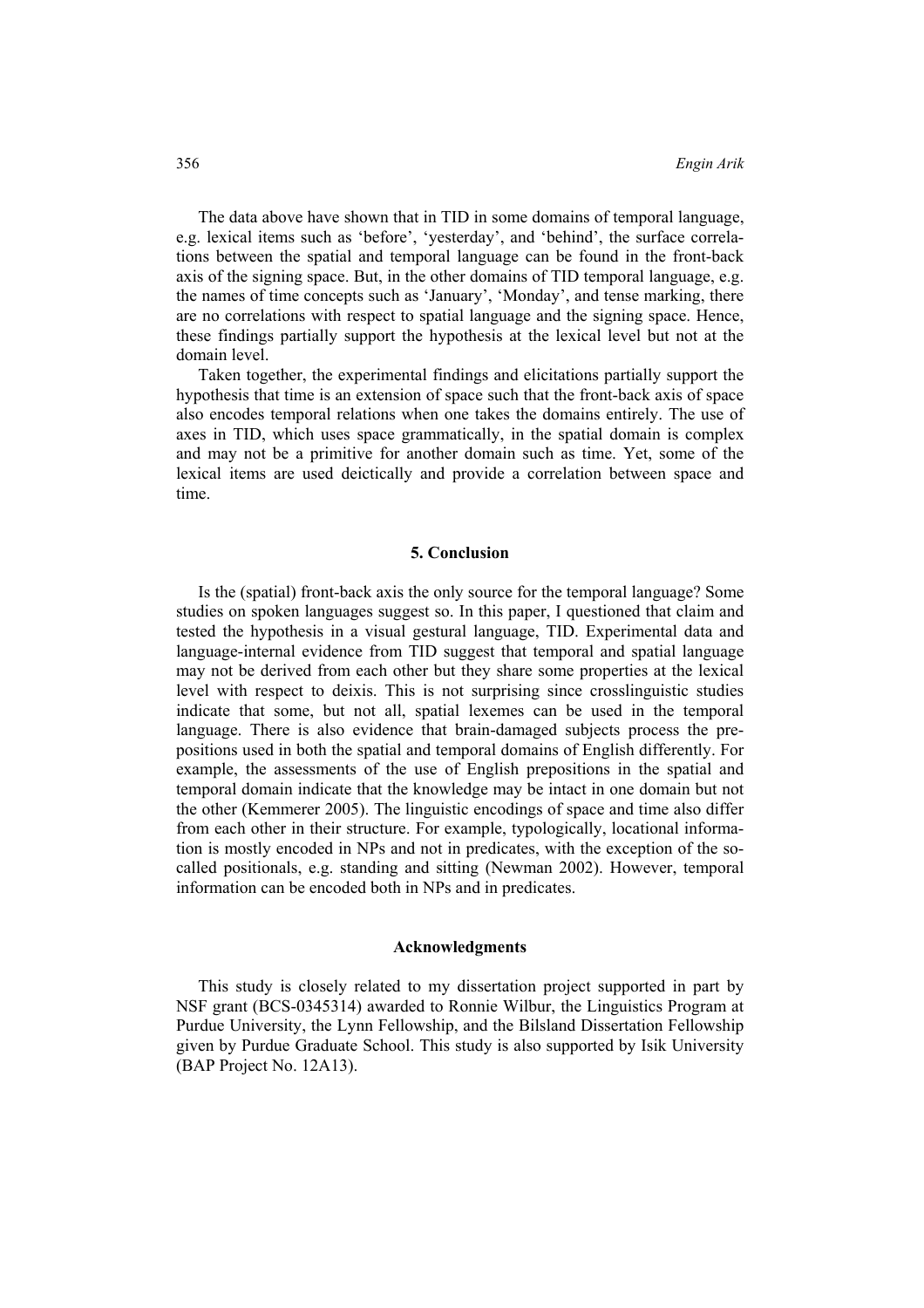The data above have shown that in TID in some domains of temporal language, e.g. lexical items such as 'before', 'yesterday', and 'behind', the surface correlations between the spatial and temporal language can be found in the front-back axis of the signing space. But, in the other domains of TID temporal language, e.g. the names of time concepts such as 'January', 'Monday', and tense marking, there are no correlations with respect to spatial language and the signing space. Hence, these findings partially support the hypothesis at the lexical level but not at the domain level.

Taken together, the experimental findings and elicitations partially support the hypothesis that time is an extension of space such that the front-back axis of space also encodes temporal relations when one takes the domains entirely. The use of axes in TID, which uses space grammatically, in the spatial domain is complex and may not be a primitive for another domain such as time. Yet, some of the lexical items are used deictically and provide a correlation between space and time.

#### **5. Conclusion**

Is the (spatial) front-back axis the only source for the temporal language? Some studies on spoken languages suggest so. In this paper, I questioned that claim and tested the hypothesis in a visual gestural language, TID. Experimental data and language-internal evidence from TID suggest that temporal and spatial language may not be derived from each other but they share some properties at the lexical level with respect to deixis. This is not surprising since crosslinguistic studies indicate that some, but not all, spatial lexemes can be used in the temporal language. There is also evidence that brain-damaged subjects process the prepositions used in both the spatial and temporal domains of English differently. For example, the assessments of the use of English prepositions in the spatial and temporal domain indicate that the knowledge may be intact in one domain but not the other (Kemmerer 2005). The linguistic encodings of space and time also differ from each other in their structure. For example, typologically, locational information is mostly encoded in NPs and not in predicates, with the exception of the socalled positionals, e.g. standing and sitting (Newman 2002). However, temporal information can be encoded both in NPs and in predicates.

#### **Acknowledgments**

This study is closely related to my dissertation project supported in part by NSF grant (BCS-0345314) awarded to Ronnie Wilbur, the Linguistics Program at Purdue University, the Lynn Fellowship, and the Bilsland Dissertation Fellowship given by Purdue Graduate School. This study is also supported by Isik University (BAP Project No. 12A13).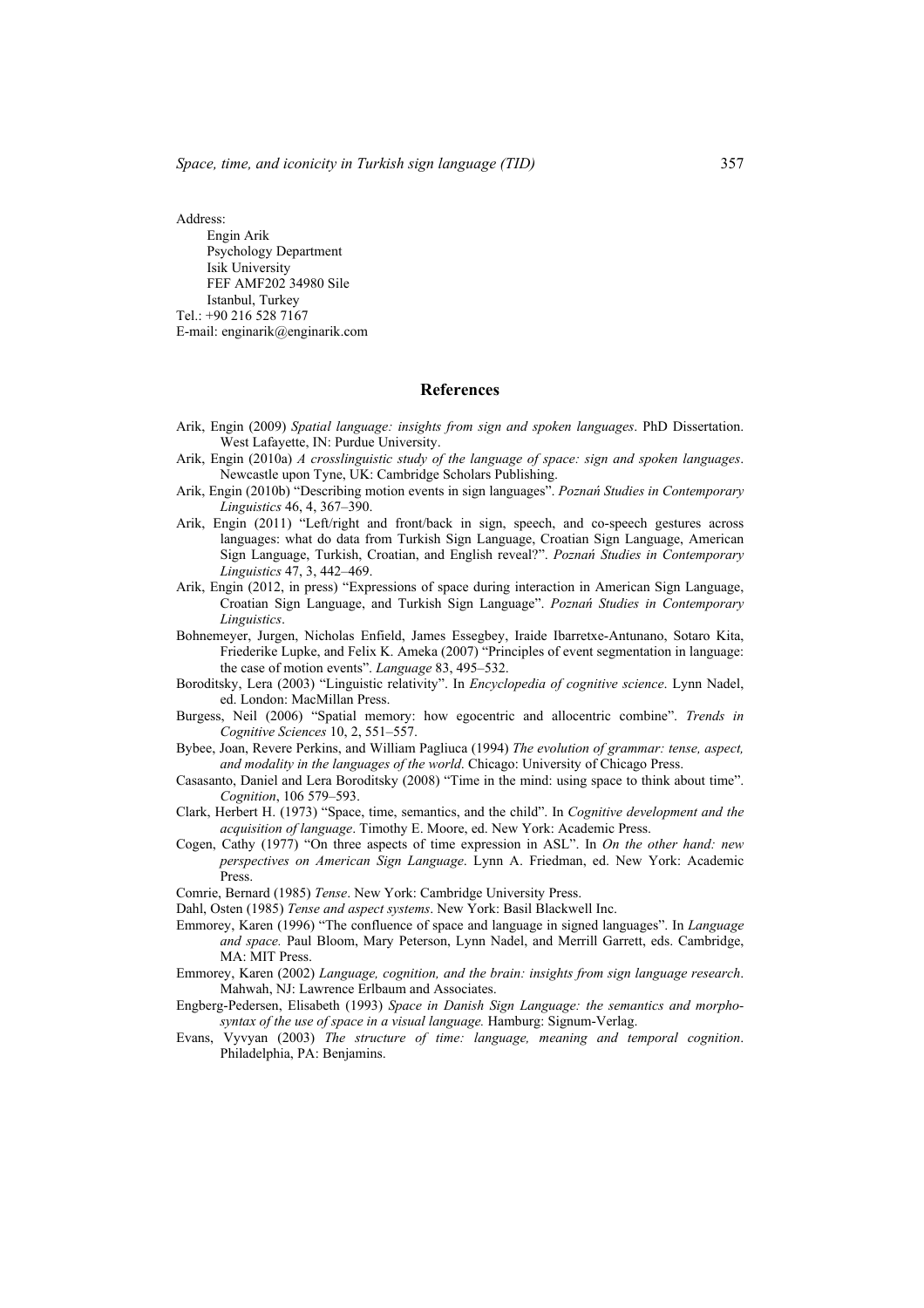*Space, time, and iconicity in Turkish sign language (TID)* 357

Address:

Engin Arik Psychology Department Isik University FEF AMF202 34980 Sile Istanbul, Turkey Tel.: +90 216 528 7167 E-mail: enginarik@enginarik.com

### **References**

- Arik, Engin (2009) *Spatial language: insights from sign and spoken languages*. PhD Dissertation. West Lafayette, IN: Purdue University.
- Arik, Engin (2010a) *A crosslinguistic study of the language of space: sign and spoken languages*. Newcastle upon Tyne, UK: Cambridge Scholars Publishing.
- Arik, Engin (2010b) "Describing motion events in sign languages". *Poznań Studies in Contemporary Linguistics* 46, 4, 367–390.
- Arik, Engin (2011) "Left/right and front/back in sign, speech, and co-speech gestures across languages: what do data from Turkish Sign Language, Croatian Sign Language, American Sign Language, Turkish, Croatian, and English reveal?". *Poznań Studies in Contemporary Linguistics* 47, 3, 442–469.
- Arik, Engin (2012, in press) "Expressions of space during interaction in American Sign Language, Croatian Sign Language, and Turkish Sign Language". *Poznań Studies in Contemporary Linguistics*.
- Bohnemeyer, Jurgen, Nicholas Enfield, James Essegbey, Iraide Ibarretxe-Antunano, Sotaro Kita, Friederike Lupke, and Felix K. Ameka (2007) "Principles of event segmentation in language: the case of motion events". *Language* 83, 495–532.
- Boroditsky, Lera (2003) "Linguistic relativity". In *Encyclopedia of cognitive science*. Lynn Nadel, ed. London: MacMillan Press.
- Burgess, Neil (2006) "Spatial memory: how egocentric and allocentric combine". *Trends in Cognitive Sciences* 10, 2, 551–557.
- Bybee, Joan, Revere Perkins, and William Pagliuca (1994) *The evolution of grammar: tense, aspect, and modality in the languages of the world*. Chicago: University of Chicago Press.
- Casasanto, Daniel and Lera Boroditsky (2008) "Time in the mind: using space to think about time". *Cognition*, 106 579–593.
- Clark, Herbert H. (1973) "Space, time, semantics, and the child". In *Cognitive development and the acquisition of language*. Timothy E. Moore, ed. New York: Academic Press.
- Cogen, Cathy (1977) "On three aspects of time expression in ASL". In *On the other hand: new perspectives on American Sign Language*. Lynn A. Friedman, ed. New York: Academic Press.
- Comrie, Bernard (1985) *Tense*. New York: Cambridge University Press.
- Dahl, Osten (1985) *Tense and aspect systems*. New York: Basil Blackwell Inc.
- Emmorey, Karen (1996) "The confluence of space and language in signed languages". In *Language and space.* Paul Bloom, Mary Peterson, Lynn Nadel, and Merrill Garrett, eds. Cambridge, MA: MIT Press.
- Emmorey, Karen (2002) *Language, cognition, and the brain: insights from sign language research*. Mahwah, NJ: Lawrence Erlbaum and Associates.
- Engberg-Pedersen, Elisabeth (1993) *Space in Danish Sign Language: the semantics and morphosyntax of the use of space in a visual language.* Hamburg: Signum-Verlag.
- Evans, Vyvyan (2003) *The structure of time: language, meaning and temporal cognition*. Philadelphia, PA: Benjamins.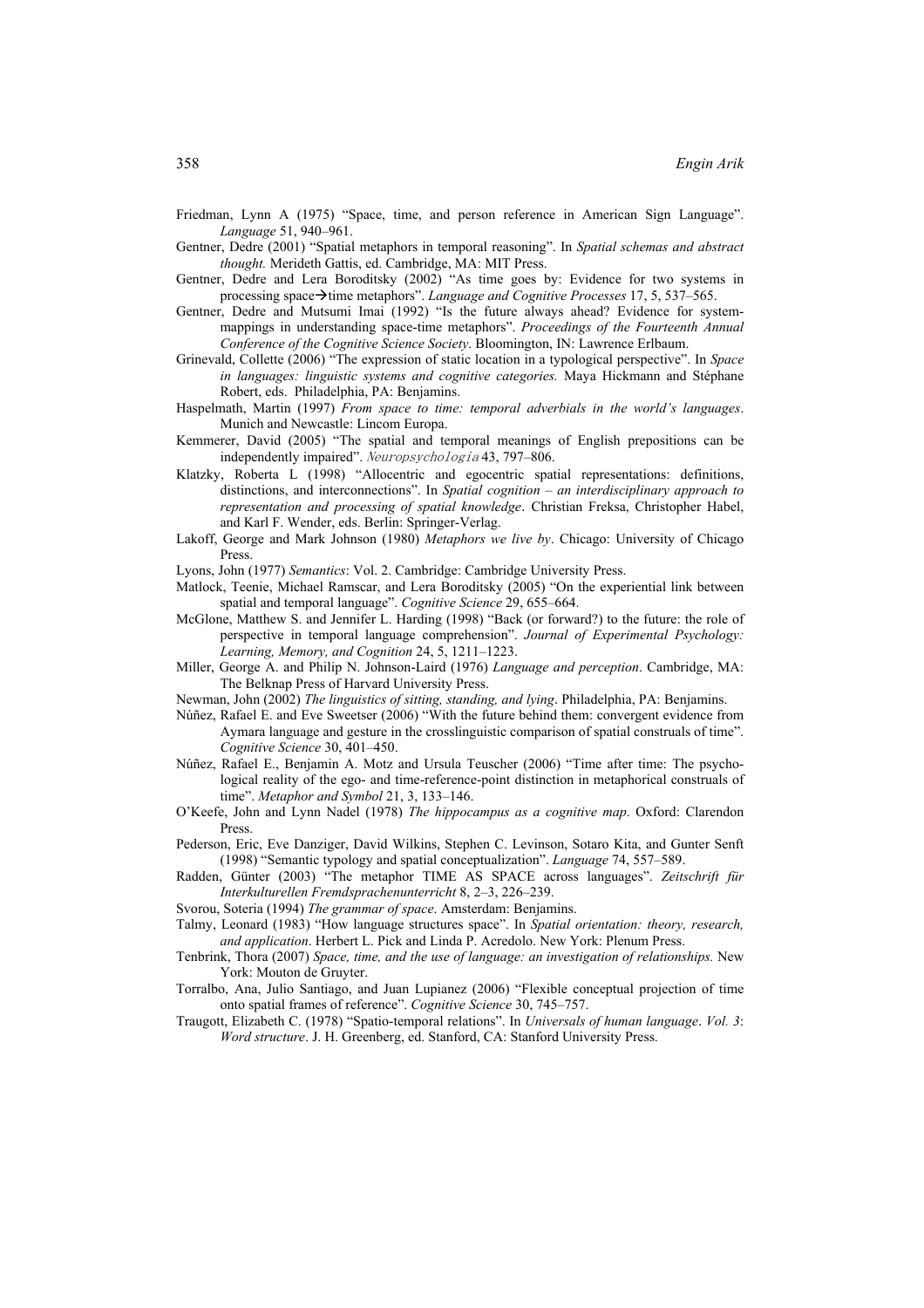Friedman, Lynn A (1975) "Space, time, and person reference in American Sign Language". *Language* 51, 940–961.

- Gentner, Dedre (2001) "Spatial metaphors in temporal reasoning". In *Spatial schemas and abstract thought.* Merideth Gattis, ed. Cambridge, MA: MIT Press.
- Gentner, Dedre and Lera Boroditsky (2002) "As time goes by: Evidence for two systems in processing space $\rightarrow$ time metaphors". *Language and Cognitive Processes* 17, 5, 537–565.
- Gentner, Dedre and Mutsumi Imai (1992) "Is the future always ahead? Evidence for systemmappings in understanding space-time metaphors". *Proceedings of the Fourteenth Annual Conference of the Cognitive Science Society*. Bloomington, IN: Lawrence Erlbaum.
- Grinevald, Collette (2006) "The expression of static location in a typological perspective". In *Space in languages: linguistic systems and cognitive categories.* Maya Hickmann and Stéphane Robert, eds. Philadelphia, PA: Benjamins.
- Haspelmath, Martin (1997) *From space to time: temporal adverbials in the world's languages*. Munich and Newcastle: Lincom Europa.
- Kemmerer, David (2005) "The spatial and temporal meanings of English prepositions can be independently impaired". Neuropsychologia 43, 797–806.
- Klatzky, Roberta L (1998) "Allocentric and egocentric spatial representations: definitions, distinctions, and interconnections". In *Spatial cognition – an interdisciplinary approach to representation and processing of spatial knowledge*. Christian Freksa, Christopher Habel, and Karl F. Wender, eds. Berlin: Springer-Verlag.
- Lakoff, George and Mark Johnson (1980) *Metaphors we live by*. Chicago: University of Chicago Press.
- Lyons, John (1977) *Semantics*: Vol. 2. Cambridge: Cambridge University Press.
- Matlock, Teenie, Michael Ramscar, and Lera Boroditsky (2005) "On the experiential link between spatial and temporal language". *Cognitive Science* 29, 655–664.
- McGlone, Matthew S. and Jennifer L. Harding (1998) "Back (or forward?) to the future: the role of perspective in temporal language comprehension". *Journal of Experimental Psychology: Learning, Memory, and Cognition* 24, 5, 1211–1223.
- Miller, George A. and Philip N. Johnson-Laird (1976) *Language and perception*. Cambridge, MA: The Belknap Press of Harvard University Press.
- Newman, John (2002) *The linguistics of sitting, standing, and lying*. Philadelphia, PA: Benjamins.
- Núñez, Rafael E. and Eve Sweetser (2006) "With the future behind them: convergent evidence from Aymara language and gesture in the crosslinguistic comparison of spatial construals of time". *Cognitive Science* 30, 401–450.
- Núñez, Rafael E., Benjamin A. Motz and Ursula Teuscher (2006) "Time after time: The psychological reality of the ego- and time-reference-point distinction in metaphorical construals of time". *Metaphor and Symbol* 21, 3, 133–146.
- O'Keefe, John and Lynn Nadel (1978) *The hippocampus as a cognitive map*. Oxford: Clarendon Press.
- Pederson, Eric, Eve Danziger, David Wilkins, Stephen C. Levinson, Sotaro Kita, and Gunter Senft (1998) "Semantic typology and spatial conceptualization". *Language* 74, 557–589.
- Radden, Günter (2003) "The metaphor TIME AS SPACE across languages". *Zeitschrift für Interkulturellen Fremdsprachenunterricht* 8, 2–3, 226–239.
- Svorou, Soteria (1994) *The grammar of space*. Amsterdam: Benjamins.
- Talmy, Leonard (1983) "How language structures space". In *Spatial orientation: theory, research, and application*. Herbert L. Pick and Linda P. Acredolo. New York: Plenum Press.
- Tenbrink, Thora (2007) *Space, time, and the use of language: an investigation of relationships.* New York: Mouton de Gruyter.
- Torralbo, Ana, Julio Santiago, and Juan Lupianez (2006) "Flexible conceptual projection of time onto spatial frames of reference". *Cognitive Science* 30, 745–757.
- Traugott, Elizabeth C. (1978) "Spatio-temporal relations". In *Universals of human language*. *Vol. 3*: *Word structure*. J. H. Greenberg, ed. Stanford, CA: Stanford University Press.